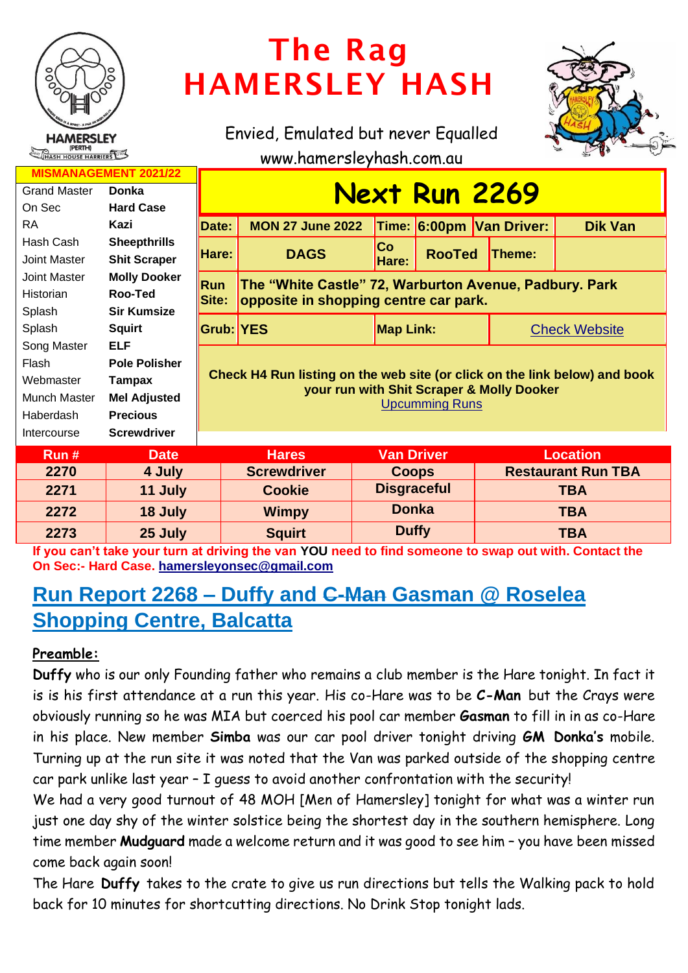

# The Rag HAMERSLEY HASH

Envied, Emulated but never Equalled



www.hamersleyhash.com.au

| <b>MISMANAGEMENT 2021/22</b> |                      |                                                                                                                                                  |                                                        |                                       |                    |                          |                           |  |
|------------------------------|----------------------|--------------------------------------------------------------------------------------------------------------------------------------------------|--------------------------------------------------------|---------------------------------------|--------------------|--------------------------|---------------------------|--|
| <b>Grand Master</b>          | <b>Donka</b>         | <b>Next Run 2269</b>                                                                                                                             |                                                        |                                       |                    |                          |                           |  |
| On Sec                       | <b>Hard Case</b>     |                                                                                                                                                  |                                                        |                                       |                    |                          |                           |  |
| <b>RA</b>                    | Kazi                 | Date:                                                                                                                                            | <b>MON 27 June 2022</b>                                |                                       |                    | Time: 6:00pm Van Driver: | <b>Dik Van</b>            |  |
| Hash Cash                    | <b>Sheepthrills</b>  |                                                                                                                                                  |                                                        | <b>Co</b>                             |                    |                          |                           |  |
| Joint Master                 | <b>Shit Scraper</b>  | Hare:                                                                                                                                            | <b>DAGS</b>                                            | Hare:                                 | <b>RooTed</b>      | Theme:                   |                           |  |
| <b>Joint Master</b>          | <b>Molly Dooker</b>  | <b>Run</b>                                                                                                                                       | The "White Castle" 72, Warburton Avenue, Padbury. Park |                                       |                    |                          |                           |  |
| Historian                    | Roo-Ted              | Site:                                                                                                                                            |                                                        | opposite in shopping centre car park. |                    |                          |                           |  |
| Splash                       | <b>Sir Kumsize</b>   |                                                                                                                                                  |                                                        |                                       |                    |                          |                           |  |
| Splash                       | <b>Squirt</b>        |                                                                                                                                                  | <b>Grub: YES</b>                                       |                                       | <b>Map Link:</b>   |                          | <b>Check Website</b>      |  |
| Song Master                  | <b>ELF</b>           |                                                                                                                                                  |                                                        |                                       |                    |                          |                           |  |
| Flash                        | <b>Pole Polisher</b> | Check H4 Run listing on the web site (or click on the link below) and book<br>your run with Shit Scraper & Molly Dooker<br><b>Upcumming Runs</b> |                                                        |                                       |                    |                          |                           |  |
| Webmaster                    | Tampax               |                                                                                                                                                  |                                                        |                                       |                    |                          |                           |  |
| Munch Master                 | <b>Mel Adjusted</b>  |                                                                                                                                                  |                                                        |                                       |                    |                          |                           |  |
| Haberdash                    | <b>Precious</b>      |                                                                                                                                                  |                                                        |                                       |                    |                          |                           |  |
| Intercourse                  | <b>Screwdriver</b>   |                                                                                                                                                  |                                                        |                                       |                    |                          |                           |  |
| Run#                         | <b>Date</b>          |                                                                                                                                                  | <b>Hares</b>                                           |                                       | <b>Van Driver</b>  |                          | <b>Location</b>           |  |
| 2270                         | 4 July               |                                                                                                                                                  | <b>Screwdriver</b>                                     |                                       | <b>Coops</b>       |                          | <b>Restaurant Run TBA</b> |  |
| 2271                         | 11 July              |                                                                                                                                                  | <b>Cookie</b>                                          |                                       | <b>Disgraceful</b> |                          | <b>TBA</b>                |  |
| 2272                         | 18 July              |                                                                                                                                                  | <b>Wimpy</b>                                           |                                       | <b>Donka</b>       | <b>TBA</b>               |                           |  |
| 2273                         | 25 July              |                                                                                                                                                  | <b>Squirt</b>                                          |                                       | <b>Duffy</b>       |                          | <b>TBA</b>                |  |

**If you can't take your turn at driving the van YOU need to find someone to swap out with. Contact the On Sec:- Hard Case. [hamersleyonsec@gmail.com](mailto:hamersleyonsec@gmail.com)**

# **Run Report 2268 – Duffy and C-Man Gasman @ Roselea Shopping Centre, Balcatta**

# **Preamble:**

**Duffy** who is our only Founding father who remains a club member is the Hare tonight. In fact it is is his first attendance at a run this year. His co-Hare was to be **C-Man** but the Crays were obviously running so he was MIA but coerced his pool car member **Gasman** to fill in in as co-Hare in his place. New member **Simba** was our car pool driver tonight driving **GM Donka's** mobile. Turning up at the run site it was noted that the Van was parked outside of the shopping centre car park unlike last year – I guess to avoid another confrontation with the security!

We had a very good turnout of 48 MOH [Men of Hamersley] tonight for what was a winter run just one day shy of the winter solstice being the shortest day in the southern hemisphere. Long time member **Mudguard** made a welcome return and it was good to see him – you have been missed come back again soon!

The Hare **Duffy** takes to the crate to give us run directions but tells the Walking pack to hold back for 10 minutes for shortcutting directions. No Drink Stop tonight lads.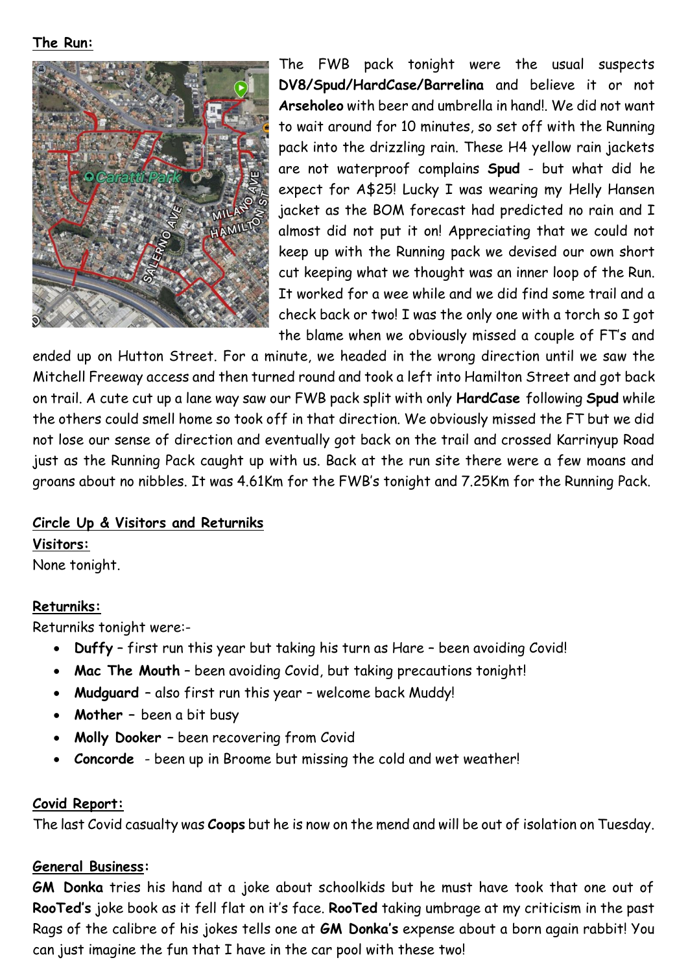#### **The Run:**



The FWB pack tonight were the usual suspects **DV8/Spud/HardCase/Barrelina** and believe it or not **Arseholeo** with beer and umbrella in hand!. We did not want to wait around for 10 minutes, so set off with the Running pack into the drizzling rain. These H4 yellow rain jackets are not waterproof complains **Spud** - but what did he expect for A\$25! Lucky I was wearing my Helly Hansen jacket as the BOM forecast had predicted no rain and I almost did not put it on! Appreciating that we could not keep up with the Running pack we devised our own short cut keeping what we thought was an inner loop of the Run. It worked for a wee while and we did find some trail and a check back or two! I was the only one with a torch so I got the blame when we obviously missed a couple of FT's and

ended up on Hutton Street. For a minute, we headed in the wrong direction until we saw the Mitchell Freeway access and then turned round and took a left into Hamilton Street and got back on trail. A cute cut up a lane way saw our FWB pack split with only **HardCase** following **Spud** while the others could smell home so took off in that direction. We obviously missed the FT but we did not lose our sense of direction and eventually got back on the trail and crossed Karrinyup Road just as the Running Pack caught up with us. Back at the run site there were a few moans and groans about no nibbles. It was 4.61Km for the FWB's tonight and 7.25Km for the Running Pack.

#### **Circle Up & Visitors and Returniks**

**Visitors:** None tonight.

#### **Returniks:**

Returniks tonight were:-

- **Duffy** first run this year but taking his turn as Hare been avoiding Covid!
- **Mac The Mouth** been avoiding Covid, but taking precautions tonight!
- **Mudguard** also first run this year welcome back Muddy!
- **Mother –** been a bit busy
- **Molly Dooker –** been recovering from Covid
- **Concorde**  been up in Broome but missing the cold and wet weather!

#### **Covid Report:**

The last Covid casualty was **Coops** but he is now on the mend and will be out of isolation on Tuesday.

#### **General Business:**

**GM Donka** tries his hand at a joke about schoolkids but he must have took that one out of **RooTed's** joke book as it fell flat on it's face. **RooTed** taking umbrage at my criticism in the past Rags of the calibre of his jokes tells one at **GM Donka's** expense about a born again rabbit! You can just imagine the fun that I have in the car pool with these two!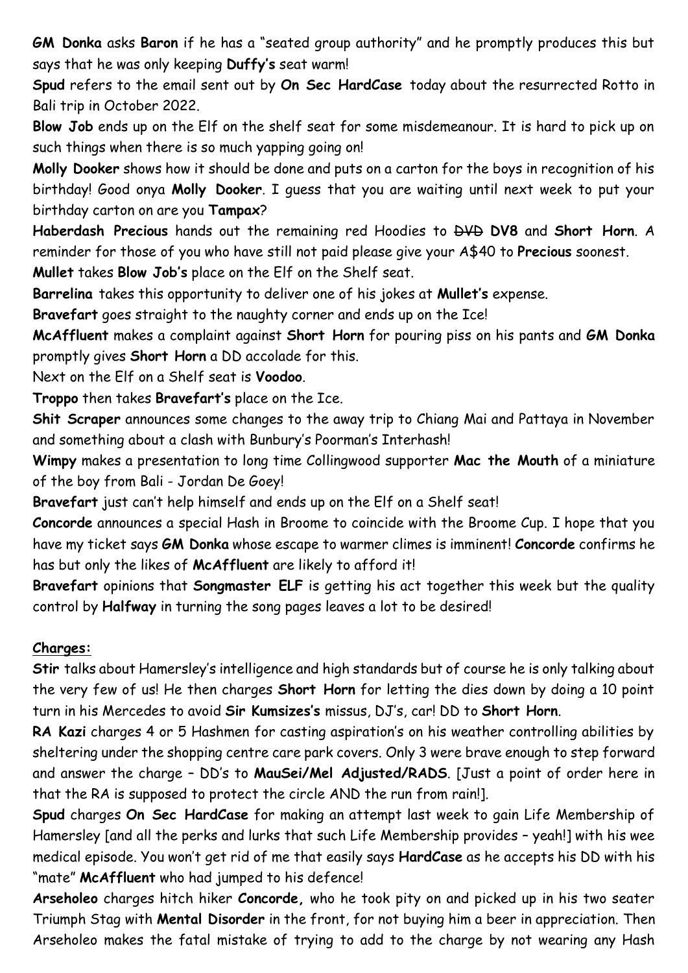**GM Donka** asks **Baron** if he has a "seated group authority" and he promptly produces this but says that he was only keeping **Duffy's** seat warm!

**Spud** refers to the email sent out by **On Sec HardCase** today about the resurrected Rotto in Bali trip in October 2022.

**Blow Job** ends up on the Elf on the shelf seat for some misdemeanour. It is hard to pick up on such things when there is so much yapping going on!

**Molly Dooker** shows how it should be done and puts on a carton for the boys in recognition of his birthday! Good onya **Molly Dooker**. I guess that you are waiting until next week to put your birthday carton on are you **Tampax**?

**Haberdash Precious** hands out the remaining red Hoodies to DVD **DV8** and **Short Horn**. A reminder for those of you who have still not paid please give your A\$40 to **Precious** soonest.

**Mullet** takes **Blow Job's** place on the Elf on the Shelf seat.

**Barrelina** takes this opportunity to deliver one of his jokes at **Mullet's** expense.

**Bravefart** goes straight to the naughty corner and ends up on the Ice!

**McAffluent** makes a complaint against **Short Horn** for pouring piss on his pants and **GM Donka** promptly gives **Short Horn** a DD accolade for this.

Next on the Elf on a Shelf seat is **Voodoo**.

**Troppo** then takes **Bravefart's** place on the Ice.

**Shit Scraper** announces some changes to the away trip to Chiang Mai and Pattaya in November and something about a clash with Bunbury's Poorman's Interhash!

**Wimpy** makes a presentation to long time Collingwood supporter **Mac the Mouth** of a miniature of the boy from Bali - Jordan De Goey!

**Bravefart** just can't help himself and ends up on the Elf on a Shelf seat!

**Concorde** announces a special Hash in Broome to coincide with the Broome Cup. I hope that you have my ticket says **GM Donka** whose escape to warmer climes is imminent! **Concorde** confirms he has but only the likes of **McAffluent** are likely to afford it!

**Bravefart** opinions that **Songmaster ELF** is getting his act together this week but the quality control by **Halfway** in turning the song pages leaves a lot to be desired!

#### **Charges:**

**Stir** talks about Hamersley's intelligence and high standards but of course he is only talking about the very few of us! He then charges **Short Horn** for letting the dies down by doing a 10 point turn in his Mercedes to avoid **Sir Kumsizes's** missus, DJ's, car! DD to **Short Horn**.

**RA Kazi** charges 4 or 5 Hashmen for casting aspiration's on his weather controlling abilities by sheltering under the shopping centre care park covers. Only 3 were brave enough to step forward and answer the charge – DD's to **MauSei/Mel Adjusted/RADS**. [Just a point of order here in that the RA is supposed to protect the circle AND the run from rain!].

**Spud** charges **On Sec HardCase** for making an attempt last week to gain Life Membership of Hamersley [and all the perks and lurks that such Life Membership provides – yeah!] with his wee medical episode. You won't get rid of me that easily says **HardCase** as he accepts his DD with his "mate" **McAffluent** who had jumped to his defence!

**Arseholeo** charges hitch hiker **Concorde,** who he took pity on and picked up in his two seater Triumph Stag with **Mental Disorder** in the front, for not buying him a beer in appreciation. Then Arseholeo makes the fatal mistake of trying to add to the charge by not wearing any Hash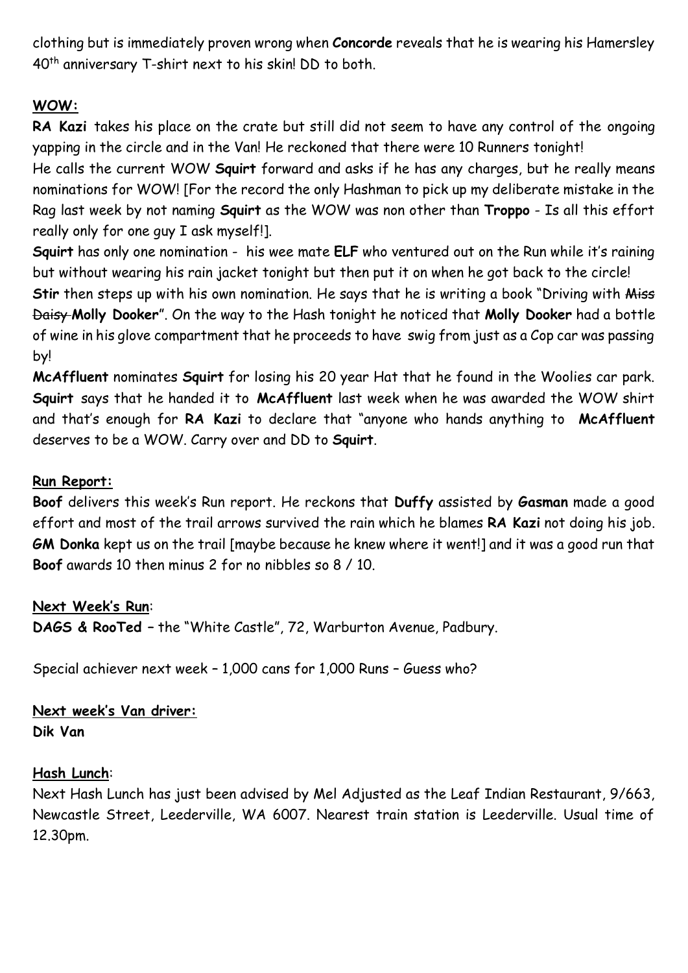clothing but is immediately proven wrong when **Concorde** reveals that he is wearing his Hamersley 40th anniversary T-shirt next to his skin! DD to both.

# **WOW:**

**RA Kazi** takes his place on the crate but still did not seem to have any control of the ongoing yapping in the circle and in the Van! He reckoned that there were 10 Runners tonight!

He calls the current WOW **Squirt** forward and asks if he has any charges, but he really means nominations for WOW! [For the record the only Hashman to pick up my deliberate mistake in the Rag last week by not naming **Squirt** as the WOW was non other than **Troppo** - Is all this effort really only for one guy I ask myself!].

**Squirt** has only one nomination - his wee mate **ELF** who ventured out on the Run while it's raining but without wearing his rain jacket tonight but then put it on when he got back to the circle! Stir then steps up with his own nomination. He says that he is writing a book "Driving with Miss Daisy **Molly Dooker**". On the way to the Hash tonight he noticed that **Molly Dooker** had a bottle of wine in his glove compartment that he proceeds to have swig from just as a Cop car was passing by!

**McAffluent** nominates **Squirt** for losing his 20 year Hat that he found in the Woolies car park. **Squirt** says that he handed it to **McAffluent** last week when he was awarded the WOW shirt and that's enough for **RA Kazi** to declare that "anyone who hands anything to **McAffluent** deserves to be a WOW. Carry over and DD to **Squirt**.

# **Run Report:**

**Boof** delivers this week's Run report. He reckons that **Duffy** assisted by **Gasman** made a good effort and most of the trail arrows survived the rain which he blames **RA Kazi** not doing his job. **GM Donka** kept us on the trail [maybe because he knew where it went!] and it was a good run that **Boof** awards 10 then minus 2 for no nibbles so 8 / 10.

#### **Next Week's Run**:

**DAGS & RooTed –** the "White Castle", 72, Warburton Avenue, Padbury.

Special achiever next week – 1,000 cans for 1,000 Runs – Guess who?

**Next week's Van driver: Dik Van**

#### **Hash Lunch**:

Next Hash Lunch has just been advised by Mel Adjusted as the Leaf Indian Restaurant, 9/663, Newcastle Street, Leederville, WA 6007. Nearest train station is Leederville. Usual time of 12.30pm.